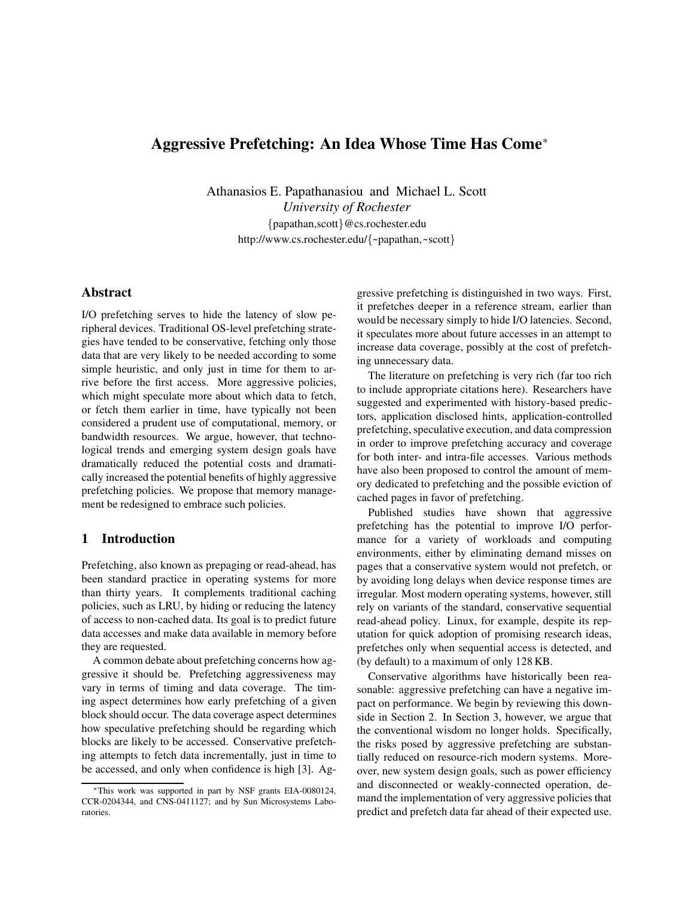# **Aggressive Prefetching: An Idea Whose Time Has Come**<sup>∗</sup>

Athanasios E. Papathanasiou and Michael L. Scott *University of Rochester* {papathan,scott}@cs.rochester.edu http://www.cs.rochester.edu/{~papathan,~scott}

## **Abstract**

I/O prefetching serves to hide the latency of slow peripheral devices. Traditional OS-level prefetching strategies have tended to be conservative, fetching only those data that are very likely to be needed according to some simple heuristic, and only just in time for them to arrive before the first access. More aggressive policies, which might speculate more about which data to fetch, or fetch them earlier in time, have typically not been considered a prudent use of computational, memory, or bandwidth resources. We argue, however, that technological trends and emerging system design goals have dramatically reduced the potential costs and dramatically increased the potential benefits of highly aggressive prefetching policies. We propose that memory management be redesigned to embrace such policies.

#### **1 Introduction**

Prefetching, also known as prepaging or read-ahead, has been standard practice in operating systems for more than thirty years. It complements traditional caching policies, such as LRU, by hiding or reducing the latency of access to non-cached data. Its goal is to predict future data accesses and make data available in memory before they are requested.

A common debate about prefetching concerns how aggressive it should be. Prefetching aggressiveness may vary in terms of timing and data coverage. The timing aspect determines how early prefetching of a given block should occur. The data coverage aspect determines how speculative prefetching should be regarding which blocks are likely to be accessed. Conservative prefetching attempts to fetch data incrementally, just in time to be accessed, and only when confidence is high [3]. Aggressive prefetching is distinguished in two ways. First, it prefetches deeper in a reference stream, earlier than would be necessary simply to hide I/O latencies. Second, it speculates more about future accesses in an attempt to increase data coverage, possibly at the cost of prefetching unnecessary data.

The literature on prefetching is very rich (far too rich to include appropriate citations here). Researchers have suggested and experimented with history-based predictors, application disclosed hints, application-controlled prefetching, speculative execution, and data compression in order to improve prefetching accuracy and coverage for both inter- and intra-file accesses. Various methods have also been proposed to control the amount of memory dedicated to prefetching and the possible eviction of cached pages in favor of prefetching.

Published studies have shown that aggressive prefetching has the potential to improve I/O performance for a variety of workloads and computing environments, either by eliminating demand misses on pages that a conservative system would not prefetch, or by avoiding long delays when device response times are irregular. Most modern operating systems, however, still rely on variants of the standard, conservative sequential read-ahead policy. Linux, for example, despite its reputation for quick adoption of promising research ideas, prefetches only when sequential access is detected, and (by default) to a maximum of only 128 KB.

Conservative algorithms have historically been reasonable: aggressive prefetching can have a negative impact on performance. We begin by reviewing this downside in Section 2. In Section 3, however, we argue that the conventional wisdom no longer holds. Specifically, the risks posed by aggressive prefetching are substantially reduced on resource-rich modern systems. Moreover, new system design goals, such as power efficiency and disconnected or weakly-connected operation, demand the implementation of very aggressive policies that predict and prefetch data far ahead of their expected use.

<sup>∗</sup>This work was supported in part by NSF grants EIA-0080124, CCR-0204344, and CNS-0411127; and by Sun Microsystems Laboratories.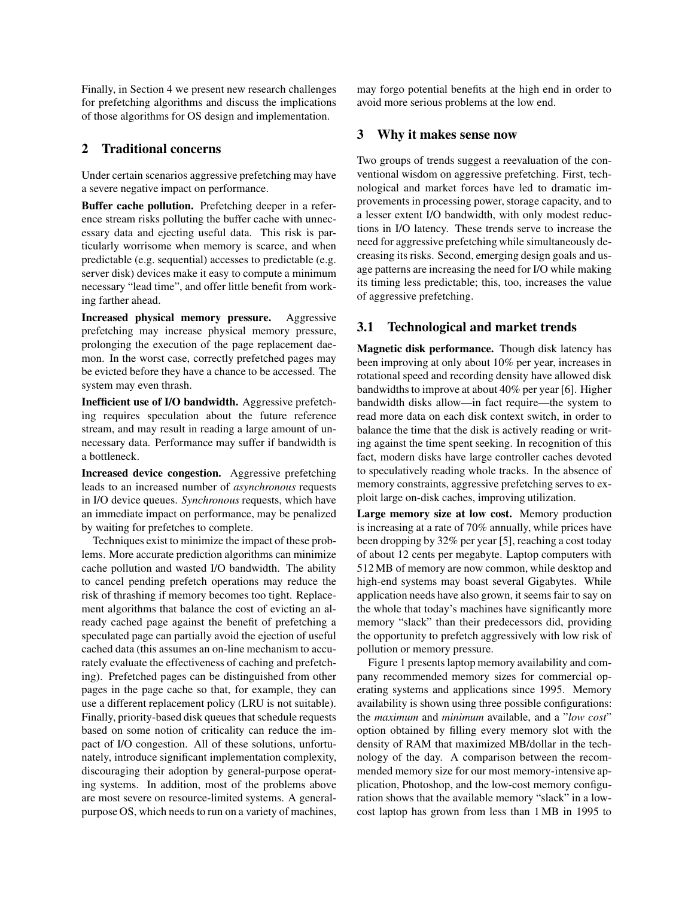Finally, in Section 4 we present new research challenges for prefetching algorithms and discuss the implications of those algorithms for OS design and implementation.

## **2 Traditional concerns**

Under certain scenarios aggressive prefetching may have a severe negative impact on performance.

**Buffer cache pollution.** Prefetching deeper in a reference stream risks polluting the buffer cache with unnecessary data and ejecting useful data. This risk is particularly worrisome when memory is scarce, and when predictable (e.g. sequential) accesses to predictable (e.g. server disk) devices make it easy to compute a minimum necessary "lead time", and offer little benefit from working farther ahead.

**Increased physical memory pressure.** Aggressive prefetching may increase physical memory pressure, prolonging the execution of the page replacement daemon. In the worst case, correctly prefetched pages may be evicted before they have a chance to be accessed. The system may even thrash.

**Inefficient use of I/O bandwidth.** Aggressive prefetching requires speculation about the future reference stream, and may result in reading a large amount of unnecessary data. Performance may suffer if bandwidth is a bottleneck.

**Increased device congestion.** Aggressive prefetching leads to an increased number of *asynchronous* requests in I/O device queues. *Synchronous* requests, which have an immediate impact on performance, may be penalized by waiting for prefetches to complete.

Techniques exist to minimize the impact of these problems. More accurate prediction algorithms can minimize cache pollution and wasted I/O bandwidth. The ability to cancel pending prefetch operations may reduce the risk of thrashing if memory becomes too tight. Replacement algorithms that balance the cost of evicting an already cached page against the benefit of prefetching a speculated page can partially avoid the ejection of useful cached data (this assumes an on-line mechanism to accurately evaluate the effectiveness of caching and prefetching). Prefetched pages can be distinguished from other pages in the page cache so that, for example, they can use a different replacement policy (LRU is not suitable). Finally, priority-based disk queues that schedule requests based on some notion of criticality can reduce the impact of I/O congestion. All of these solutions, unfortunately, introduce significant implementation complexity, discouraging their adoption by general-purpose operating systems. In addition, most of the problems above are most severe on resource-limited systems. A generalpurpose OS, which needs to run on a variety of machines, may forgo potential benefits at the high end in order to avoid more serious problems at the low end.

### **3 Why it makes sense now**

Two groups of trends suggest a reevaluation of the conventional wisdom on aggressive prefetching. First, technological and market forces have led to dramatic improvements in processing power, storage capacity, and to a lesser extent I/O bandwidth, with only modest reductions in I/O latency. These trends serve to increase the need for aggressive prefetching while simultaneously decreasing its risks. Second, emerging design goals and usage patterns are increasing the need for I/O while making its timing less predictable; this, too, increases the value of aggressive prefetching.

## **3.1 Technological and market trends**

**Magnetic disk performance.** Though disk latency has been improving at only about 10% per year, increases in rotational speed and recording density have allowed disk bandwidths to improve at about 40% per year [6]. Higher bandwidth disks allow—in fact require—the system to read more data on each disk context switch, in order to balance the time that the disk is actively reading or writing against the time spent seeking. In recognition of this fact, modern disks have large controller caches devoted to speculatively reading whole tracks. In the absence of memory constraints, aggressive prefetching serves to exploit large on-disk caches, improving utilization.

**Large memory size at low cost.** Memory production is increasing at a rate of 70% annually, while prices have been dropping by 32% per year [5], reaching a cost today of about 12 cents per megabyte. Laptop computers with 512MB of memory are now common, while desktop and high-end systems may boast several Gigabytes. While application needs have also grown, it seems fair to say on the whole that today's machines have significantly more memory "slack" than their predecessors did, providing the opportunity to prefetch aggressively with low risk of pollution or memory pressure.

Figure 1 presents laptop memory availability and company recommended memory sizes for commercial operating systems and applications since 1995. Memory availability is shown using three possible configurations: the *maximum* and *minimum* available, and a "*low cost*" option obtained by filling every memory slot with the density of RAM that maximized MB/dollar in the technology of the day. A comparison between the recommended memory size for our most memory-intensive application, Photoshop, and the low-cost memory configuration shows that the available memory "slack" in a lowcost laptop has grown from less than 1 MB in 1995 to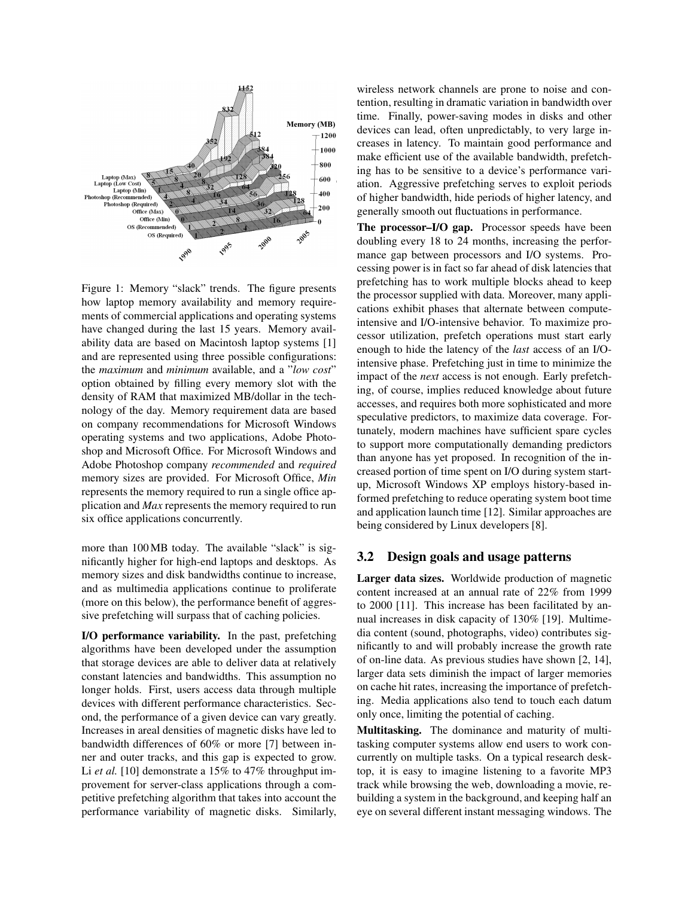

Figure 1: Memory "slack" trends. The figure presents how laptop memory availability and memory requirements of commercial applications and operating systems have changed during the last 15 years. Memory availability data are based on Macintosh laptop systems [1] and are represented using three possible configurations: the *maximum* and *minimum* available, and a "*low cost*" option obtained by filling every memory slot with the density of RAM that maximized MB/dollar in the technology of the day. Memory requirement data are based on company recommendations for Microsoft Windows operating systems and two applications, Adobe Photoshop and Microsoft Office. For Microsoft Windows and Adobe Photoshop company *recommended* and *required* memory sizes are provided. For Microsoft Office, *Min* represents the memory required to run a single office application and *Max* represents the memory required to run six office applications concurrently.

more than 100MB today. The available "slack" is significantly higher for high-end laptops and desktops. As memory sizes and disk bandwidths continue to increase, and as multimedia applications continue to proliferate (more on this below), the performance benefit of aggressive prefetching will surpass that of caching policies.

**I/O performance variability.** In the past, prefetching algorithms have been developed under the assumption that storage devices are able to deliver data at relatively constant latencies and bandwidths. This assumption no longer holds. First, users access data through multiple devices with different performance characteristics. Second, the performance of a given device can vary greatly. Increases in areal densities of magnetic disks have led to bandwidth differences of 60% or more [7] between inner and outer tracks, and this gap is expected to grow. Li *et al.* [10] demonstrate a 15% to 47% throughput improvement for server-class applications through a competitive prefetching algorithm that takes into account the performance variability of magnetic disks. Similarly, wireless network channels are prone to noise and contention, resulting in dramatic variation in bandwidth over time. Finally, power-saving modes in disks and other devices can lead, often unpredictably, to very large increases in latency. To maintain good performance and make efficient use of the available bandwidth, prefetching has to be sensitive to a device's performance variation. Aggressive prefetching serves to exploit periods of higher bandwidth, hide periods of higher latency, and generally smooth out fluctuations in performance.

**The processor–I/O gap.** Processor speeds have been doubling every 18 to 24 months, increasing the performance gap between processors and I/O systems. Processing power is in fact so far ahead of disk latencies that prefetching has to work multiple blocks ahead to keep the processor supplied with data. Moreover, many applications exhibit phases that alternate between computeintensive and I/O-intensive behavior. To maximize processor utilization, prefetch operations must start early enough to hide the latency of the *last* access of an I/Ointensive phase. Prefetching just in time to minimize the impact of the *next* access is not enough. Early prefetching, of course, implies reduced knowledge about future accesses, and requires both more sophisticated and more speculative predictors, to maximize data coverage. Fortunately, modern machines have sufficient spare cycles to support more computationally demanding predictors than anyone has yet proposed. In recognition of the increased portion of time spent on I/O during system startup, Microsoft Windows XP employs history-based informed prefetching to reduce operating system boot time and application launch time [12]. Similar approaches are being considered by Linux developers [8].

#### **3.2 Design goals and usage patterns**

**Larger data sizes.** Worldwide production of magnetic content increased at an annual rate of 22% from 1999 to 2000 [11]. This increase has been facilitated by annual increases in disk capacity of 130% [19]. Multimedia content (sound, photographs, video) contributes significantly to and will probably increase the growth rate of on-line data. As previous studies have shown [2, 14], larger data sets diminish the impact of larger memories on cache hit rates, increasing the importance of prefetching. Media applications also tend to touch each datum only once, limiting the potential of caching.

**Multitasking.** The dominance and maturity of multitasking computer systems allow end users to work concurrently on multiple tasks. On a typical research desktop, it is easy to imagine listening to a favorite MP3 track while browsing the web, downloading a movie, rebuilding a system in the background, and keeping half an eye on several different instant messaging windows. The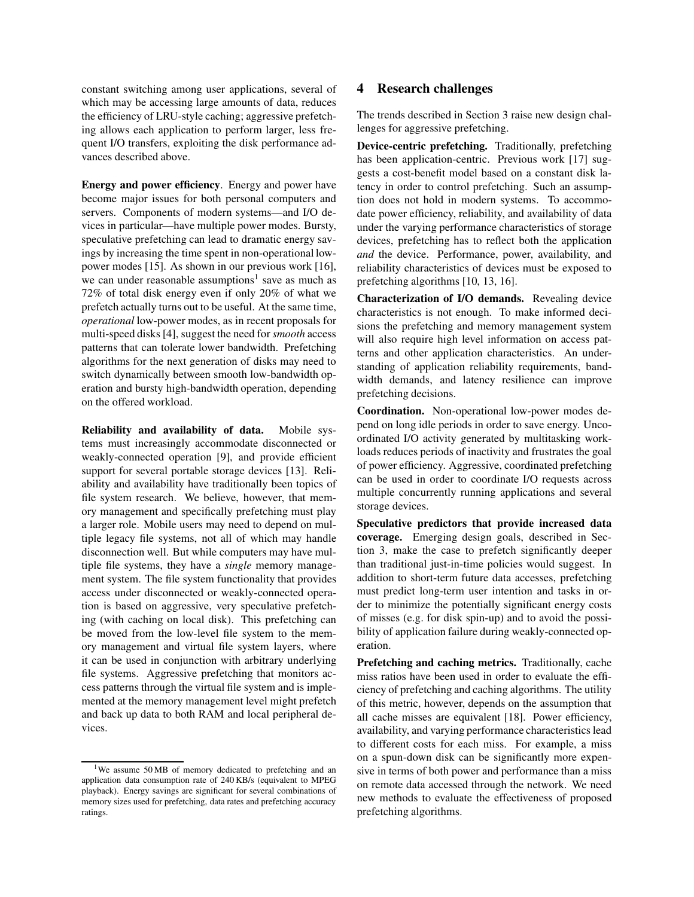constant switching among user applications, several of which may be accessing large amounts of data, reduces the efficiency of LRU-style caching; aggressive prefetching allows each application to perform larger, less frequent I/O transfers, exploiting the disk performance advances described above.

**Energy and power efficiency**. Energy and power have become major issues for both personal computers and servers. Components of modern systems—and I/O devices in particular—have multiple power modes. Bursty, speculative prefetching can lead to dramatic energy savings by increasing the time spent in non-operational lowpower modes [15]. As shown in our previous work [16], we can under reasonable assumptions<sup>1</sup> save as much as 72% of total disk energy even if only 20% of what we prefetch actually turns out to be useful. At the same time, *operational* low-power modes, as in recent proposals for multi-speed disks [4], suggest the need for *smooth* access patterns that can tolerate lower bandwidth. Prefetching algorithms for the next generation of disks may need to switch dynamically between smooth low-bandwidth operation and bursty high-bandwidth operation, depending on the offered workload.

**Reliability and availability of data.** Mobile systems must increasingly accommodate disconnected or weakly-connected operation [9], and provide efficient support for several portable storage devices [13]. Reliability and availability have traditionally been topics of file system research. We believe, however, that memory management and specifically prefetching must play a larger role. Mobile users may need to depend on multiple legacy file systems, not all of which may handle disconnection well. But while computers may have multiple file systems, they have a *single* memory management system. The file system functionality that provides access under disconnected or weakly-connected operation is based on aggressive, very speculative prefetching (with caching on local disk). This prefetching can be moved from the low-level file system to the memory management and virtual file system layers, where it can be used in conjunction with arbitrary underlying file systems. Aggressive prefetching that monitors access patterns through the virtual file system and is implemented at the memory management level might prefetch and back up data to both RAM and local peripheral devices.

#### **4 Research challenges**

The trends described in Section 3 raise new design challenges for aggressive prefetching.

**Device-centric prefetching.** Traditionally, prefetching has been application-centric. Previous work [17] suggests a cost-benefit model based on a constant disk latency in order to control prefetching. Such an assumption does not hold in modern systems. To accommodate power efficiency, reliability, and availability of data under the varying performance characteristics of storage devices, prefetching has to reflect both the application *and* the device. Performance, power, availability, and reliability characteristics of devices must be exposed to prefetching algorithms [10, 13, 16].

**Characterization of I/O demands.** Revealing device characteristics is not enough. To make informed decisions the prefetching and memory management system will also require high level information on access patterns and other application characteristics. An understanding of application reliability requirements, bandwidth demands, and latency resilience can improve prefetching decisions.

**Coordination.** Non-operational low-power modes depend on long idle periods in order to save energy. Uncoordinated I/O activity generated by multitasking workloads reduces periods of inactivity and frustrates the goal of power efficiency. Aggressive, coordinated prefetching can be used in order to coordinate I/O requests across multiple concurrently running applications and several storage devices.

**Speculative predictors that provide increased data coverage.** Emerging design goals, described in Section 3, make the case to prefetch significantly deeper than traditional just-in-time policies would suggest. In addition to short-term future data accesses, prefetching must predict long-term user intention and tasks in order to minimize the potentially significant energy costs of misses (e.g. for disk spin-up) and to avoid the possibility of application failure during weakly-connected operation.

**Prefetching and caching metrics.** Traditionally, cache miss ratios have been used in order to evaluate the efficiency of prefetching and caching algorithms. The utility of this metric, however, depends on the assumption that all cache misses are equivalent [18]. Power efficiency, availability, and varying performance characteristics lead to different costs for each miss. For example, a miss on a spun-down disk can be significantly more expensive in terms of both power and performance than a miss on remote data accessed through the network. We need new methods to evaluate the effectiveness of proposed prefetching algorithms.

<sup>1</sup>We assume 50 MB of memory dedicated to prefetching and an application data consumption rate of 240 KB/s (equivalent to MPEG playback). Energy savings are significant for several combinations of memory sizes used for prefetching, data rates and prefetching accuracy ratings.